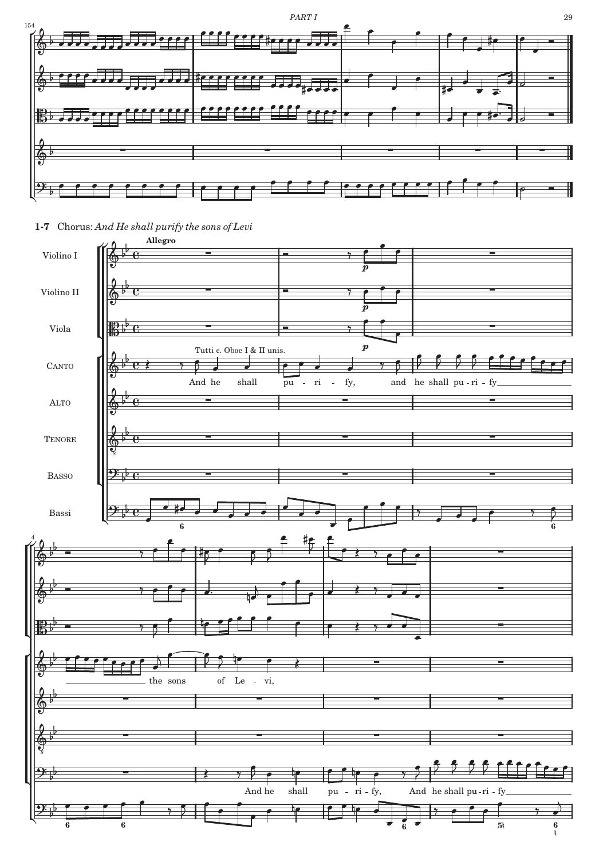



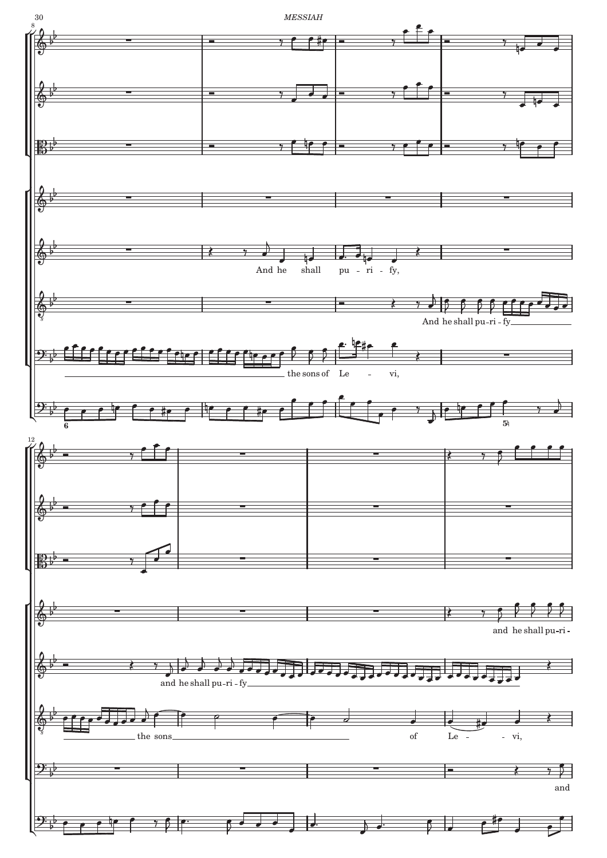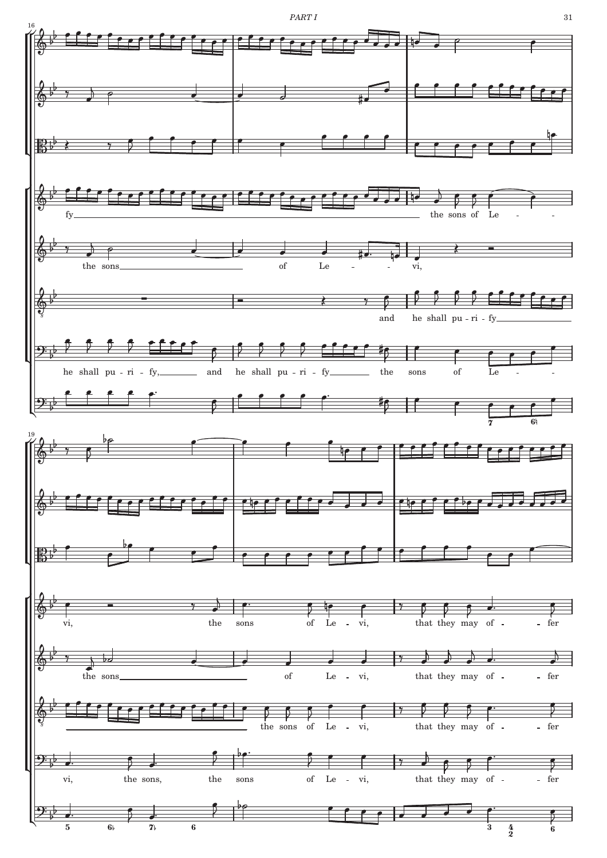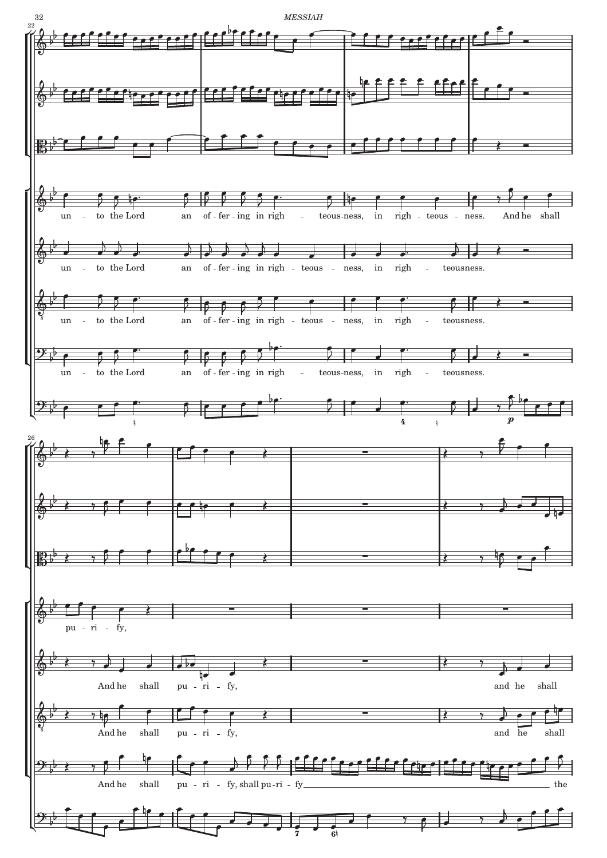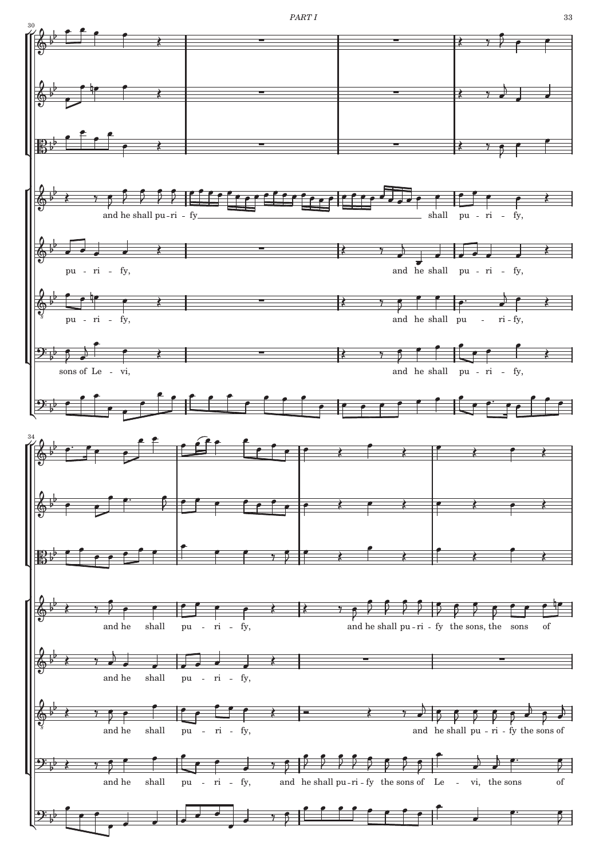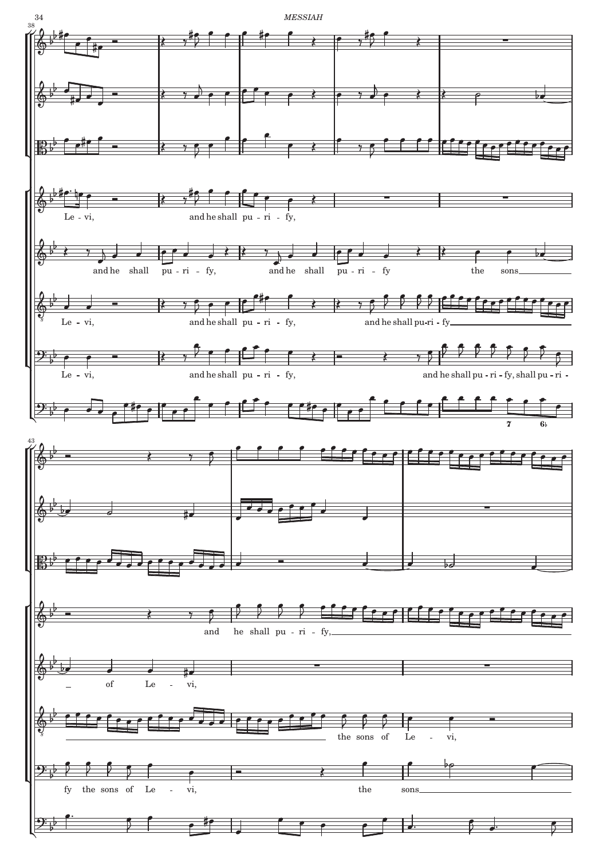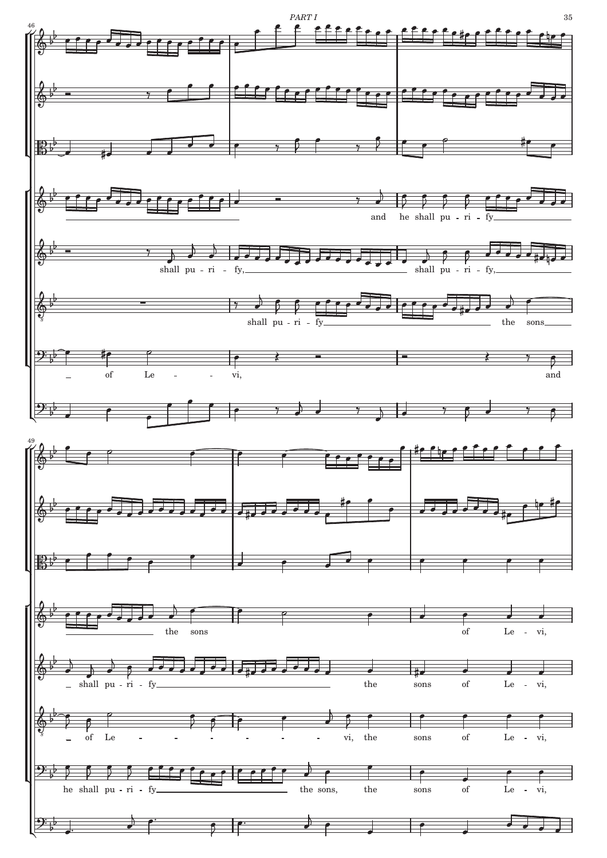